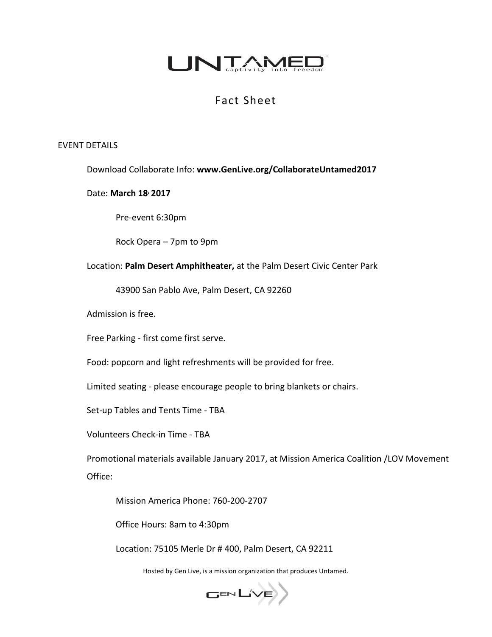

# Fact Sheet

### EVENT DETAILS

Download Collaborate Info: **www.GenLive.org/CollaborateUntamed2017**

#### Date: **March 18, 2017**

Pre-event 6:30pm

Rock Opera – 7pm to 9pm

Location: **Palm Desert Amphitheater,** at the Palm Desert Civic Center Park

43900 San Pablo Ave, Palm Desert, CA 92260

Admission is free.

Free Parking - first come first serve.

Food: popcorn and light refreshments will be provided for free.

Limited seating - please encourage people to bring blankets or chairs.

Set-up Tables and Tents Time - TBA

Volunteers Check-in Time - TBA

Promotional materials available January 2017, at Mission America Coalition /LOV Movement Office:

Mission America Phone: 760-200-2707

Office Hours: 8am to 4:30pm

Location: 75105 Merle Dr # 400, Palm Desert, CA 92211

Hosted by Gen Live, is a mission organization that produces Untamed.